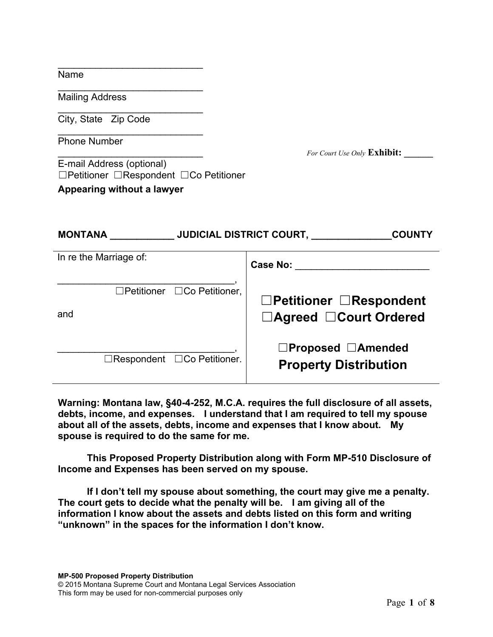| r<br>۰<br>r |
|-------------|
|-------------|

Mailing Address

City, State Zip Code

Phone Number

For Court Use Only **Exhibit:** 

E-mail Address (optional) ☐Petitioner ☐Respondent ☐Co Petitioner

**Appearing without a lawyer**

\_\_\_\_\_\_\_\_\_\_\_\_\_\_\_\_\_\_\_\_\_\_\_\_\_\_\_

\_\_\_\_\_\_\_\_\_\_\_\_\_\_\_\_\_\_\_\_\_\_\_\_\_\_\_

\_\_\_\_\_\_\_\_\_\_\_\_\_\_\_\_\_\_\_\_\_\_\_\_\_\_\_

\_\_\_\_\_\_\_\_\_\_\_\_\_\_\_\_\_\_\_\_\_\_\_\_\_\_\_

| <b>MONTANA</b>         |                                         | <b>JUDICIAL DISTRICT COURT,</b><br><b>COUNTY</b>                                                                                                                                                                              |
|------------------------|-----------------------------------------|-------------------------------------------------------------------------------------------------------------------------------------------------------------------------------------------------------------------------------|
| In re the Marriage of: |                                         | Case No: the case of the case of the case of the case of the case of the case of the case of the case of the case of the case of the case of the case of the case of the case of the case of the case of the case of the case |
| and                    | □Petitioner □Co Petitioner,             | $\Box$ Petitioner $\Box$ Respondent<br>□Agreed □Court Ordered                                                                                                                                                                 |
|                        | $\Box$ Respondent $\Box$ Co Petitioner. | □Proposed □Amended<br><b>Property Distribution</b>                                                                                                                                                                            |

**Warning: Montana law, §40-4-252, M.C.A. requires the full disclosure of all assets, debts, income, and expenses. I understand that I am required to tell my spouse about all of the assets, debts, income and expenses that I know about. My spouse is required to do the same for me.** 

**This Proposed Property Distribution along with Form MP-510 Disclosure of Income and Expenses has been served on my spouse.**

**If I don't tell my spouse about something, the court may give me a penalty. The court gets to decide what the penalty will be. I am giving all of the information I know about the assets and debts listed on this form and writing "unknown" in the spaces for the information I don't know.**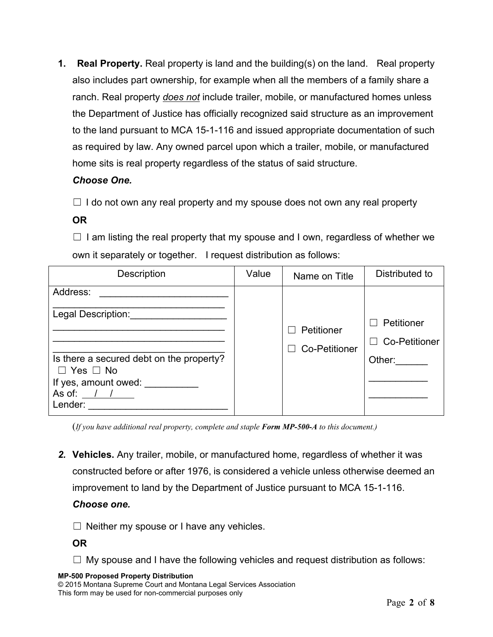**1. Real Property.** Real property is land and the building(s) on the land. Real property also includes part ownership, for example when all the members of a family share a ranch. Real property *does not* include trailer, mobile, or manufactured homes unless the Department of Justice has officially recognized said structure as an improvement to the land pursuant to MCA 15-1-116 and issued appropriate documentation of such as required by law. Any owned parcel upon which a trailer, mobile, or manufactured home sits is real property regardless of the status of said structure.

# *Choose One.*

 $\Box$  I do not own any real property and my spouse does not own any real property

# **OR**

 $\Box$  I am listing the real property that my spouse and I own, regardless of whether we own it separately or together. I request distribution as follows:

| Description                                                                                                                                           | Value | Name on Title                      | Distributed to                                                                                       |
|-------------------------------------------------------------------------------------------------------------------------------------------------------|-------|------------------------------------|------------------------------------------------------------------------------------------------------|
| Address:<br>Legal Description:<br>Is there a secured debt on the property?<br>$\Box$ Yes $\Box$ No<br>If yes, amount owed:<br>As of: $/$ /<br>Lender: |       | Petitioner<br><b>Co-Petitioner</b> | Petitioner<br>$\overline{\phantom{0}}$<br><b>Co-Petitioner</b><br>$\overline{\phantom{a}}$<br>Other: |

(*If you have additional real property, complete and staple Form MP-500-A to this document.)*

*2.* **Vehicles.** Any trailer, mobile, or manufactured home, regardless of whether it was constructed before or after 1976, is considered a vehicle unless otherwise deemed an improvement to land by the Department of Justice pursuant to MCA 15-1-116.

### *Choose one.*

 $\Box$  Neither my spouse or I have any vehicles.

**OR** 

 $\Box$  My spouse and I have the following vehicles and request distribution as follows:

### **MP-500 Proposed Property Distribution**

© 2015 Montana Supreme Court and Montana Legal Services Association This form may be used for non-commercial purposes only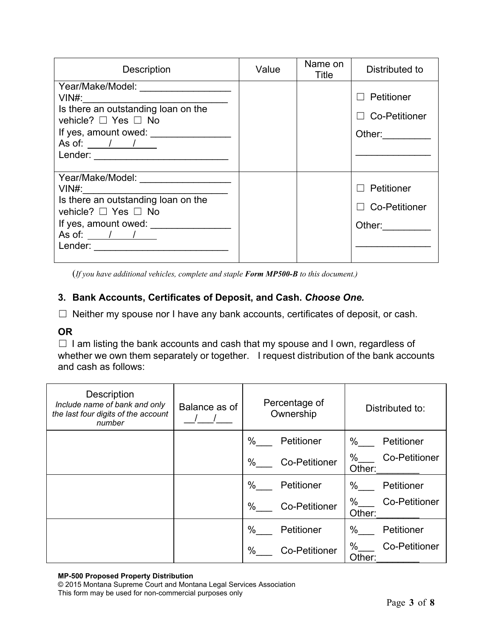| <b>Description</b>                                                                                                                                                            | Value | Name on<br>Title | Distributed to                                                                                                          |
|-------------------------------------------------------------------------------------------------------------------------------------------------------------------------------|-------|------------------|-------------------------------------------------------------------------------------------------------------------------|
| Year/Make/Model: _______________________<br>vehicle? □ Yes □ No<br>If yes, amount owed: ___________________<br>As of: $\frac{1}{1}$ /<br>Lender: ____________________________ |       |                  | Petitioner<br>$\Box$ Co-Petitioner<br>Other: $\qquad \qquad \qquad$                                                     |
| $VIN#$ :<br>Is there an outstanding loan on the<br>vehicle? □ Yes □ No<br>If yes, amount owed: _______<br>As of: $\sqrt{1 - (1 - 1)^2}$                                       |       |                  | $\Box$ Petitioner<br>$\Box$ Co-Petitioner<br>Other: $\frac{1}{\sqrt{1-\frac{1}{2}}\cdot\frac{1}{\sqrt{1-\frac{1}{2}}}}$ |

(*If you have additional vehicles, complete and staple Form MP500-B to this document.)*

# **3. Bank Accounts, Certificates of Deposit, and Cash.** *Choose One.*

☐ Neither my spouse nor I have any bank accounts, certificates of deposit, or cash.

# **OR**

☐ I am listing the bank accounts and cash that my spouse and I own, regardless of whether we own them separately or together. I request distribution of the bank accounts and cash as follows:

| <b>Description</b><br>Include name of bank and only<br>the last four digits of the account<br>number | Balance as of | Percentage of<br>Ownership   | Distributed to:                        |
|------------------------------------------------------------------------------------------------------|---------------|------------------------------|----------------------------------------|
|                                                                                                      |               | $\%$<br>Petitioner           | %<br>Petitioner                        |
|                                                                                                      |               | $\%$<br><b>Co-Petitioner</b> | $\%$<br><b>Co-Petitioner</b><br>Other: |
|                                                                                                      |               | $\%$<br>Petitioner           | %<br>Petitioner                        |
|                                                                                                      |               | $\%$<br><b>Co-Petitioner</b> | %<br><b>Co-Petitioner</b><br>Other:    |
|                                                                                                      |               | $\%$<br>Petitioner           | %<br>Petitioner                        |
|                                                                                                      |               | $\%$<br><b>Co-Petitioner</b> | %<br><b>Co-Petitioner</b><br>Other:    |

#### **MP-500 Proposed Property Distribution**

© 2015 Montana Supreme Court and Montana Legal Services Association This form may be used for non-commercial purposes only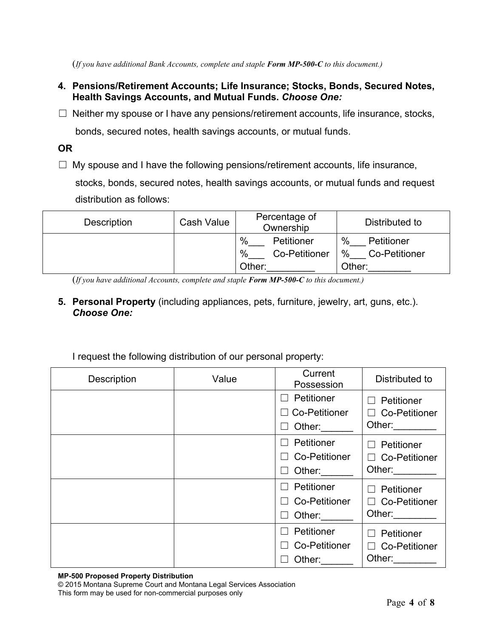(*If you have additional Bank Accounts, complete and staple Form MP-500-C to this document.)*

- **4. Pensions/Retirement Accounts; Life Insurance; Stocks, Bonds, Secured Notes, Health Savings Accounts, and Mutual Funds.** *Choose One:*
- $\Box$  Neither my spouse or I have any pensions/retirement accounts, life insurance, stocks,

bonds, secured notes, health savings accounts, or mutual funds.

**OR**

 $\Box$  My spouse and I have the following pensions/retirement accounts, life insurance,

stocks, bonds, secured notes, health savings accounts, or mutual funds and request distribution as follows:

| <b>Description</b> | <b>Cash Value</b> | Percentage of<br>Ownership                      | Distributed to                                        |
|--------------------|-------------------|-------------------------------------------------|-------------------------------------------------------|
|                    |                   | %<br>Petitioner<br>%<br>Co-Petitioner<br>Other: | $\%$<br>Petitioner<br>$\%$<br>Co-Petitioner<br>Other: |

(*If you have additional Accounts, complete and staple Form MP-500-C to this document.)*

**5. Personal Property** (including appliances, pets, furniture, jewelry, art, guns, etc.). *Choose One:*

| <b>Description</b> | Value | Current<br>Possession                        | Distributed to                                                                                                                                                                                                                                                                                      |
|--------------------|-------|----------------------------------------------|-----------------------------------------------------------------------------------------------------------------------------------------------------------------------------------------------------------------------------------------------------------------------------------------------------|
|                    |       | Petitioner<br><b>Co-Petitioner</b><br>Other: | Petitioner<br>$\vert \ \ \vert$<br><b>Co-Petitioner</b><br>$\Box$<br>Other: The Contract of the Contract of the Contract of the Contract of the Contract of the Contract of the Contract of the Contract of the Contract of the Contract of the Contract of the Contract of the Contract of the Con |
|                    |       | Petitioner<br><b>Co-Petitioner</b><br>Other: | Petitioner<br>П<br>□ Co-Petitioner<br>Other:                                                                                                                                                                                                                                                        |
|                    |       | Petitioner<br><b>Co-Petitioner</b><br>Other: | Petitioner<br>$\vert \ \ \vert$<br>$\Box$ Co-Petitioner<br>Other: and the state of the state of the state of the state of the state of the state of the state of the state of the state of the state of the state of the state of the state of the state of the state of the state of the           |
|                    |       | Petitioner<br><b>Co-Petitioner</b><br>Other: | Petitioner<br>$\Box$<br><b>Co-Petitioner</b><br>$\Box$<br>Other:                                                                                                                                                                                                                                    |

I request the following distribution of our personal property:

**MP-500 Proposed Property Distribution**

© 2015 Montana Supreme Court and Montana Legal Services Association This form may be used for non-commercial purposes only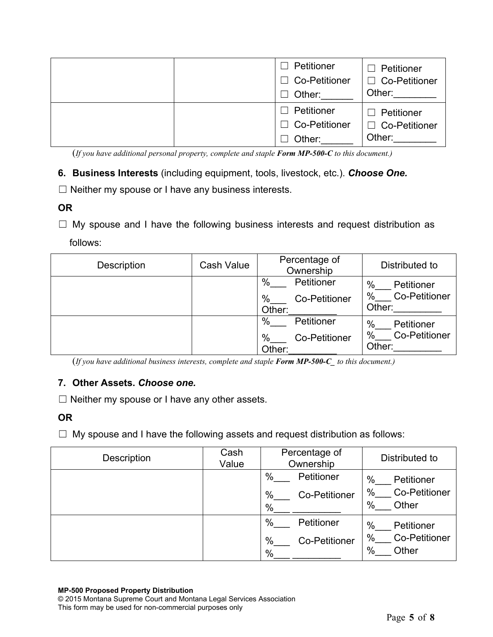|  | Petitioner<br>×.<br><b>Co-Petitioner</b><br>$\blacksquare$<br>Other:<br>$\overline{\phantom{a}}$     | Petitioner<br>$\Box$ Co-Petitioner<br>Other: |
|--|------------------------------------------------------------------------------------------------------|----------------------------------------------|
|  | Petitioner<br>$\overline{\phantom{a}}$<br><b>Co-Petitioner</b><br>$\overline{\phantom{a}}$<br>Other: | Petitioner<br>□ Co-Petitioner<br>Other:      |

(*If you have additional personal property, complete and staple Form MP-500-C to this document.)*

- **6. Business Interests** (including equipment, tools, livestock, etc.). *Choose One.*
- $\Box$  Neither my spouse or I have any business interests.
- **OR**
- ☐ My spouse and I have the following business interests and request distribution as follows:

| <b>Description</b> | <b>Cash Value</b> | Percentage of<br>Ownership                             | Distributed to                                               |
|--------------------|-------------------|--------------------------------------------------------|--------------------------------------------------------------|
|                    |                   | %<br>Petitioner<br>%<br><b>Co-Petitioner</b><br>Other: | %<br>Petitioner<br>$\%$<br><b>Co-Petitioner</b><br>Other:    |
|                    |                   | %<br>Petitioner<br>%<br><b>Co-Petitioner</b><br>Other: | $\%$<br>Petitioner<br>$\%$<br><b>Co-Petitioner</b><br>Other: |

(*If you have additional business interests, complete and staple Form MP-500-C\_ to this document.)*

### **7. Other Assets.** *Choose one.*

 $\Box$  Neither my spouse or I have any other assets.

### **OR**

 $\Box$  My spouse and I have the following assets and request distribution as follows:

| Description | Cash<br>Value | Percentage of<br>Ownership     | Distributed to                                      |
|-------------|---------------|--------------------------------|-----------------------------------------------------|
|             |               | %<br>Petitioner                | %<br>Petitioner                                     |
|             |               | %<br><b>Co-Petitioner</b><br>% | %<br><b>Co-Petitioner</b><br>%<br>Other             |
|             |               | %<br>Petitioner                | %<br>Petitioner                                     |
|             |               | %<br><b>Co-Petitioner</b><br>% | %<br><b>Co-Petitioner</b><br>$\frac{0}{0}$<br>Other |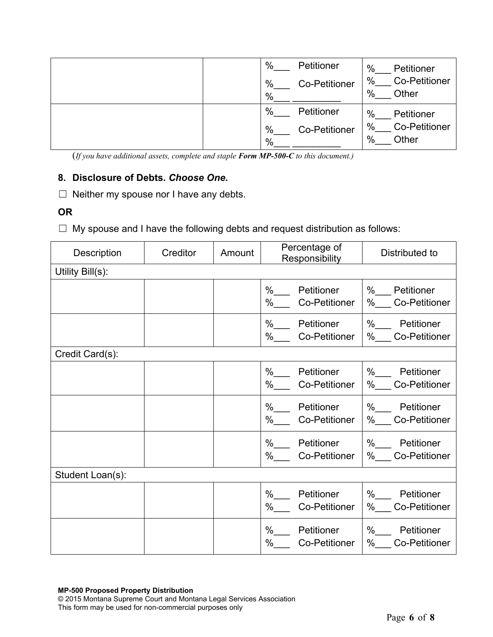|  | %    | Petitioner           | $\%$<br>Petitioner        |
|--|------|----------------------|---------------------------|
|  | %    | <b>Co-Petitioner</b> | %<br><b>Co-Petitioner</b> |
|  | %    |                      | %<br>Other                |
|  | $\%$ | Petitioner           | $\%$<br>Petitioner        |
|  | %    | <b>Co-Petitioner</b> | %<br><b>Co-Petitioner</b> |
|  | %    |                      | %<br>Other                |

(*If you have additional assets, complete and staple Form MP-500-C to this document.)*

### **8. Disclosure of Debts.** *Choose One.*

 $\Box$  Neither my spouse nor I have any debts.

# **OR**

☐ My spouse and I have the following debts and request distribution as follows:

| <b>Description</b> | Creditor | Amount | Percentage of<br>Responsibility                    | Distributed to                                     |
|--------------------|----------|--------|----------------------------------------------------|----------------------------------------------------|
| Utility Bill(s):   |          |        |                                                    |                                                    |
|                    |          |        | $\%$<br>Petitioner<br>%<br><b>Co-Petitioner</b>    | $\%$<br>Petitioner<br>%<br><b>Co-Petitioner</b>    |
|                    |          |        | %<br>Petitioner<br>%<br><b>Co-Petitioner</b>       | $\%$<br>Petitioner<br>%<br><b>Co-Petitioner</b>    |
| Credit Card(s):    |          |        |                                                    |                                                    |
|                    |          |        | $\%$<br>Petitioner<br><b>Co-Petitioner</b><br>%    | % Petitioner<br><b>Co-Petitioner</b><br>%          |
|                    |          |        | $\%$<br>Petitioner<br>%<br><b>Co-Petitioner</b>    | %<br>Petitioner<br>%<br><b>Co-Petitioner</b>       |
|                    |          |        | Petitioner<br>$\%$<br><b>Co-Petitioner</b><br>$\%$ | % Petitioner<br><b>Co-Petitioner</b><br>$\%$       |
| Student Loan(s):   |          |        |                                                    |                                                    |
|                    |          |        | %<br>Petitioner<br><b>Co-Petitioner</b><br>%       | %<br>Petitioner<br>%<br><b>Co-Petitioner</b>       |
|                    |          |        | %<br>Petitioner<br>$\%$<br><b>Co-Petitioner</b>    | $%$ $-$<br>Petitioner<br><b>Co-Petitioner</b><br>% |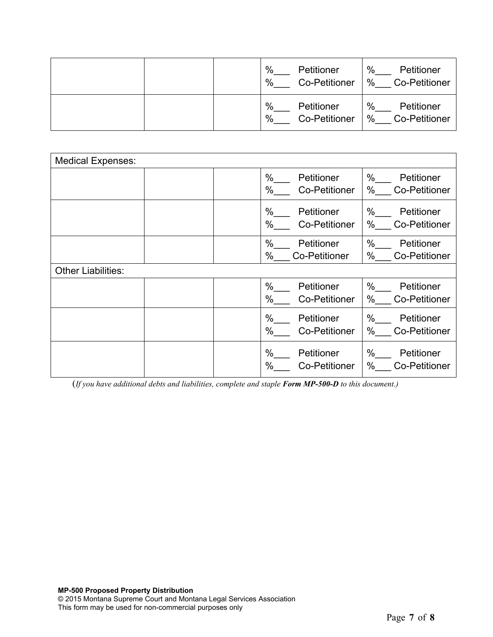|  | %<br>Petitioner<br>%<br><b>Co-Petitioner</b> | %<br>Petitioner<br>$\%$<br><b>Co-Petitioner</b> |
|--|----------------------------------------------|-------------------------------------------------|
|  | %<br>Petitioner<br>%<br><b>Co-Petitioner</b> | %<br>Petitioner<br>$\%$<br><b>Co-Petitioner</b> |

| <b>Medical Expenses:</b>  |                                                    |                                                    |  |  |  |
|---------------------------|----------------------------------------------------|----------------------------------------------------|--|--|--|
|                           | $\%$<br>Petitioner<br>$\%$<br><b>Co-Petitioner</b> | $\%$<br>Petitioner<br>%<br><b>Co-Petitioner</b>    |  |  |  |
|                           | $\%$<br>Petitioner<br>$\%$<br><b>Co-Petitioner</b> | $\%$<br>Petitioner<br>%<br><b>Co-Petitioner</b>    |  |  |  |
|                           | $\%$<br>Petitioner<br>$\%$<br><b>Co-Petitioner</b> | $\%$<br>Petitioner<br>$\%$<br><b>Co-Petitioner</b> |  |  |  |
| <b>Other Liabilities:</b> |                                                    |                                                    |  |  |  |
|                           | $\%$<br>Petitioner<br>$\%$<br><b>Co-Petitioner</b> | $\%$<br>Petitioner<br>$\%$<br><b>Co-Petitioner</b> |  |  |  |
|                           | $\%$<br>Petitioner<br>$\%$<br><b>Co-Petitioner</b> | $\%$<br>Petitioner<br>%<br><b>Co-Petitioner</b>    |  |  |  |
|                           | $\%$<br>Petitioner<br>$\%$<br><b>Co-Petitioner</b> | $\%$<br>Petitioner<br>%<br>Co-Petitioner           |  |  |  |

(*If you have additional debts and liabilities, complete and staple Form MP-500-D to this document.)*